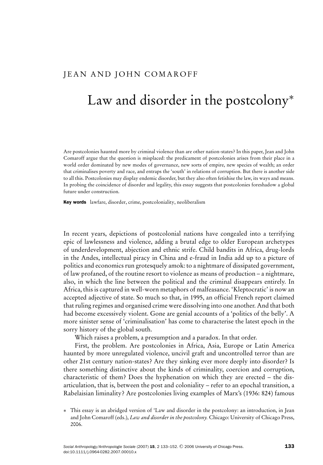# JEAN AND JOHN COMAROFF

# Law and disorder in the postcolony∗

Are postcolonies haunted more by criminal violence than are other nation-states? In this paper, Jean and John Comaroff argue that the question is misplaced: the predicament of postcolonies arises from their place in a world order dominated by new modes of governance, new sorts of empire, new species of wealth; an order that criminalises poverty and race, and entraps the 'south' in relations of corruption. But there is another side to all this. Postcolonies may display endemic disorder, but they also often fetishise the law, its ways and means. In probing the coincidence of disorder and legality, this essay suggests that postcolonies foreshadow a global future under construction.

Key words lawfare, disorder, crime, postcoloniality, neoliberalism

In recent years, depictions of postcolonial nations have congealed into a terrifying epic of lawlessness and violence, adding a brutal edge to older European archetypes of underdevelopment, abjection and ethnic strife. Child bandits in Africa, drug-lords in the Andes, intellectual piracy in China and e-fraud in India add up to a picture of politics and economics run grotesquely amok: to a nightmare of dissipated government, of law profaned, of the routine resort to violence as means of production – a nightmare, also, in which the line between the political and the criminal disappears entirely. In Africa, this is captured in well-worn metaphors of malfeasance. 'Kleptocratic' is now an accepted adjective of state. So much so that, in 1995, an official French report claimed that ruling regimes and organised crime were dissolving into one another. And that both had become excessively violent. Gone are genial accounts of a 'politics of the belly'. A more sinister sense of 'criminalisation' has come to characterise the latest epoch in the sorry history of the global south.

Which raises a problem, a presumption and a paradox. In that order.

First, the problem. Are postcolonies in Africa, Asia, Europe or Latin America haunted by more unregulated violence, uncivil graft and uncontrolled terror than are other 21st century nation-states? Are they sinking ever more deeply into disorder? Is there something distinctive about the kinds of criminality, coercion and corruption, characteristic of them? Does the hyphenation on which they are erected – the disarticulation, that is, between the post and coloniality – refer to an epochal transition, a Rabelaisian liminality? Are postcolonies living examples of Marx's (1936: 824) famous

<sup>∗</sup> This essay is an abridged version of 'Law and disorder in the postcolony: an introduction, in Jean and John Comaroff (eds.), *Law and disorder in the postcolony.* Chicago: University of Chicago Press, 2006.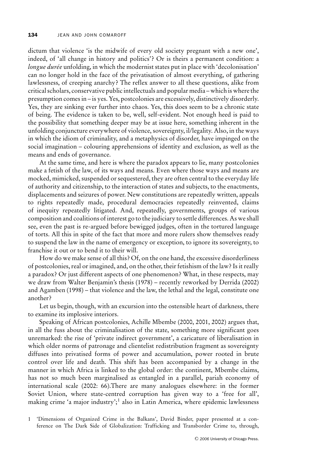dictum that violence 'is the midwife of every old society pregnant with a new one', indeed, of 'all change in history and politics'? Or is theirs a permanent condition: a longue durée unfolding, in which the modernist states put in place with 'decolonisation' can no longer hold in the face of the privatisation of almost everything, of gathering lawlessness, of creeping anarchy? The reflex answer to all these questions, alike from critical scholars, conservative public intellectuals and popular media – which is where the presumption comes in – is yes. Yes, postcolonies are excessively, distinctively disorderly. Yes, they are sinking ever further into chaos. Yes, this does seem to be a chronic state of being. The evidence is taken to be, well, self-evident. Not enough heed is paid to the possibility that something deeper may be at issue here, something inherent in the unfolding conjuncture everywhere of violence, sovereignty, il/legality. Also, in the ways in which the idiom of criminality, and a metaphysics of disorder, have impinged on the social imagination – colouring apprehensions of identity and exclusion, as well as the means and ends of governance.

At the same time, and here is where the paradox appears to lie, many postcolonies make a fetish of the law, of its ways and means. Even where those ways and means are mocked, mimicked, suspended or sequestered, they are often central to the everyday life of authority and citizenship, to the interaction of states and subjects, to the enactments, displacements and seizures of power. New constitutions are repeatedly written, appeals to rights repeatedly made, procedural democracies repeatedly reinvented, claims of inequity repeatedly litigated. And, repeatedly, governments, groups of various composition and coalitions of interest go to the judiciary to settle differences. As we shall see, even the past is re-argued before bewigged judges, often in the tortured language of torts. All this in spite of the fact that more and more rulers show themselves ready to suspend the law in the name of emergency or exception, to ignore its sovereignty, to franchise it out or to bend it to their will.

How do we make sense of all this? Of, on the one hand, the excessive disorderliness of postcolonies, real or imagined, and, on the other, their fetishism of the law? Is it really a paradox? Or just different aspects of one phenomenon? What, in these respects, may we draw from Walter Benjamin's thesis (1978) – recently reworked by Derrida (2002) and Agamben (1998) – that violence and the law, the lethal and the legal, constitute one another?

Let us begin, though, with an excursion into the ostensible heart of darkness, there to examine its implosive interiors.

Speaking of African postcolonies, Achille Mbembe (2000, 2001, 2002) argues that, in all the fuss about the criminalisation of the state, something more significant goes unremarked: the rise of 'private indirect government', a caricature of liberalisation in which older norms of patronage and clientelist redistribution fragment as sovereignty diffuses into privatised forms of power and accumulation, power rooted in brute control over life and death. This shift has been accompanied by a change in the manner in which Africa is linked to the global order: the continent, Mbembe claims, has not so much been marginalised as entangled in a parallel, pariah economy of international scale (2002: 66).There are many analogues elsewhere: in the former Soviet Union, where state-centred corruption has given way to a 'free for all', making crime 'a major industry';<sup>1</sup> also in Latin America, where epidemic lawlessness

1 'Dimensions of Organized Crime in the Balkans', David Binder, paper presented at a conference on The Dark Side of Globalization: Trafficking and Transborder Crime to, through,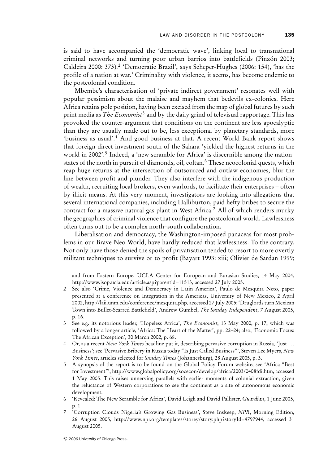is said to have accompanied the 'democratic wave', linking local to transnational criminal networks and turning poor urban barrios into battlefields (Pinzón 2003; Caldeira 2000: 373).<sup>2</sup> 'Democratic Brazil', says Scheper-Hughes (2006: 154), 'has the profile of a nation at war.' Criminality with violence, it seems, has become endemic to the postcolonial condition.

Mbembe's characterisation of 'private indirect government' resonates well with popular pessimism about the malaise and mayhem that bedevils ex-colonies. Here Africa retains pole position, having been excised from the map of global futures by such print media as *The Economist*<sup>3</sup> and by the daily grind of televisual rapportage. This has provoked the counter-argument that conditions on the continent are less apocalyptic than they are usually made out to be, less exceptional by planetary standards, more 'business as usual'.<sup>4</sup> And good business at that. A recent World Bank report shows that foreign direct investment south of the Sahara 'yielded the highest returns in the world in 2002'.<sup>5</sup> Indeed, a 'new scramble for Africa' is discernible among the nationstates of the north in pursuit of diamonds, oil, coltan.<sup>6</sup> These neocolonial quests, which reap huge returns at the intersection of outsourced and outlaw economies, blur the line between profit and plunder. They also interfere with the indigenous production of wealth, recruiting local brokers, even warlords, to facilitate their enterprises – often by illicit means. At this very moment, investigators are looking into allegations that several international companies, including Halliburton, paid hefty bribes to secure the contract for a massive natural gas plant in West Africa.<sup>7</sup> All of which renders murky the geographies of criminal violence that configure the postcolonial world. Lawlessness often turns out to be a complex north–south collaboration.

Liberalisation and democracy, the Washington-imposed panaceas for most problems in our Brave Neo World, have hardly reduced that lawlessness. To the contrary. Not only have those denied the spoils of privatisation tended to resort to more overtly militant techniques to survive or to profit (Bayart 1993: xiii; Olivier de Sardan 1999;

and from Eastern Europe, UCLA Center for European and Eurasian Studies, 14 May 2004, http://www.isop.ucla.edu/article.asp?parentid=11513, accessed 27 July 2005.

- 2 See also 'Crime, Violence and Democracy in Latin America', Paulo de Mesquita Neto, paper presented at a conference on Integration in the Americas, University of New Mexico, 2 April 2002, http://laii.unm.edu/conference/mesquita.php, accessed 27 July 2005; 'Druglords turn Mexican Town into Bullet-Scarred Battlefield', Andrew Gumbel, *The Sunday Independent*, 7 August 2005, p. 16.
- 3 See e.g. its notorious leader, 'Hopeless Africa', *The Economist*, 13 May 2000, p. 17, which was followed by a longer article, 'Africa: The Heart of the Matter', pp. 22–24; also, 'Economic Focus: The African Exception', 30 March 2002, p. 68.
- 4 Or, as a recent *New York Times* headline put it, describing pervasive corruption in Russia, 'Just ... Business'; see 'Pervasive Bribery in Russia today "Is Just Called Business"', Steven Lee Myers, *New York Times*, articles selected for *Sunday Times* (Johannesburg), 28 August 2005, p. 3.
- 5 A synopsis of the report is to be found on the Global Policy Forum website; see 'Africa "Best for Investment"', http://www.globalpolicy.org/socecon/develop/africa/2003/0408fdi.htm, accessed 1 May 2005. This raises unnerving parallels with earlier moments of colonial extraction, given the reluctance of Western corporations to see the continent as a site of autonomous economic development.
- 6 'Revealed: The New Scramble for Africa', David Leigh and David Pallister, *Guardian*, 1 June 2005, p. 1.
- 7 'Corruption Clouds Nigeria's Growing Gas Business', Steve Inskeep, *NPR*, Morning Edition, 26 August 2005, http://www.npr.org/templates/storey/story.php?storyId=4797944, accessed 31 August 2005.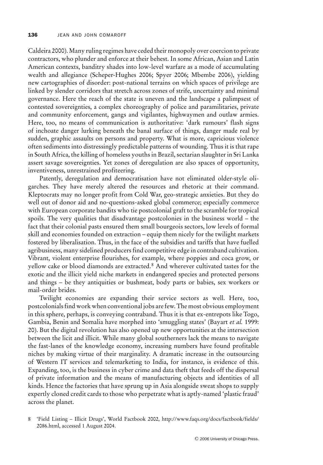Caldeira 2000). Many ruling regimes have ceded their monopoly over coercion to private contractors, who plunder and enforce at their behest. In some African, Asian and Latin American contexts, banditry shades into low-level warfare as a mode of accumulating wealth and allegiance (Scheper-Hughes 2006; Spyer 2006; Mbembe 2006), yielding new cartographies of disorder: post-national terrains on which spaces of privilege are linked by slender corridors that stretch across zones of strife, uncertainty and minimal governance. Here the reach of the state is uneven and the landscape a palimpsest of contested sovereignties, a complex choreography of police and paramilitaries, private and community enforcement, gangs and vigilantes, highwaymen and outlaw armies. Here, too, no means of communication is authoritative: 'dark rumours' flash signs of inchoate danger lurking beneath the banal surface of things, danger made real by sudden, graphic assaults on persons and property. What is more, capricious violence often sediments into distressingly predictable patterns of wounding. Thus it is that rape in South Africa, the killing of homeless youths in Brazil, sectarian slaughter in Sri Lanka assert savage sovereignties. Yet zones of deregulation are also spaces of opportunity, inventiveness, unrestrained profiteering.

Patently, deregulation and democratisation have not eliminated older-style oligarches. They have merely altered the resources and rhetoric at their command. Kleptocrats may no longer profit from Cold War, geo-strategic anxieties. But they do well out of donor aid and no-questions-asked global commerce; especially commerce with European corporate bandits who tie postcolonial graft to the scramble for tropical spoils. The very qualities that disadvantage postcolonies in the business world – the fact that their colonial pasts ensured them small bourgeois sectors, low levels of formal skill and economies founded on extraction – equip them nicely for the twilight markets fostered by liberalisation. Thus, in the face of the subsidies and tariffs that have fuelled agribusiness, many sidelined producers find competitive edge in contraband cultivation. Vibrant, violent enterprise flourishes, for example, where poppies and coca grow, or yellow cake or blood diamonds are extracted.<sup>8</sup> And wherever cultivated tastes for the exotic and the illicit yield niche markets in endangered species and protected persons and things – be they antiquities or bushmeat, body parts or babies, sex workers or mail-order brides.

Twilight economies are expanding their service sectors as well. Here, too, postcolonials find work when conventional jobs are few. The most obvious employment in this sphere, perhaps, is conveying contraband. Thus it is that ex-entrepots like Togo, Gambia, Benin and Somalia have morphed into 'smuggling states' (Bayart *et al.* 1999: 20). But the digital revolution has also opened up new opportunities at the intersection between the licit and illicit. While many global southerners lack the means to navigate the fast-lanes of the knowledge economy, increasing numbers have found profitable niches by making virtue of their marginality. A dramatic increase in the outsourcing of Western IT services and telemarketing to India, for instance, is evidence of this. Expanding, too, is the business in cyber crime and data theft that feeds off the dispersal of private information and the means of manufacturing objects and identities of all kinds. Hence the factories that have sprung up in Asia alongside sweat shops to supply expertly cloned credit cards to those who perpetrate what is aptly-named 'plastic fraud' across the planet.

<sup>8 &#</sup>x27;Field Listing – Illicit Drugs', World Factbook 2002, http://www.faqs.org/docs/factbook/fields/ 2086.html, accessed 1 August 2004.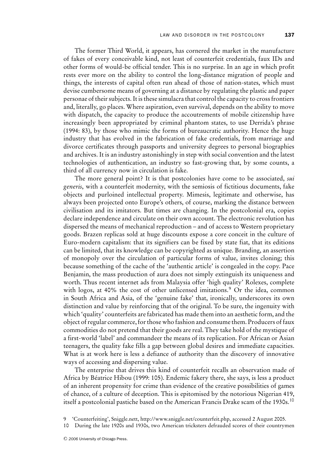The former Third World, it appears, has cornered the market in the manufacture of fakes of every conceivable kind, not least of counterfeit credentials, faux IDs and other forms of would-be official tender. This is no surprise. In an age in which profit rests ever more on the ability to control the long-distance migration of people and things, the interests of capital often run ahead of those of nation-states, which must devise cumbersome means of governing at a distance by regulating the plastic and paper personae of their subjects. It is these simulacra that control the capacity to cross frontiers and, literally, go places. Where aspiration, even survival, depends on the ability to move with dispatch, the capacity to produce the accoutrements of mobile citizenship have increasingly been appropriated by criminal phantom states, to use Derrida's phrase (1994: 83), by those who mimic the forms of bureaucratic authority. Hence the huge industry that has evolved in the fabrication of fake credentials, from marriage and divorce certificates through passports and university degrees to personal biographies and archives. It is an industry astonishingly in step with social convention and the latest technologies of authentication, an industry so fast-growing that, by some counts, a third of all currency now in circulation is fake.

The more general point? It is that postcolonies have come to be associated, *sui generis*, with a counterfeit modernity, with the semiosis of fictitious documents, fake objects and purloined intellectual property. Mimesis, legitimate and otherwise, has always been projected onto Europe's others, of course, marking the distance between civilisation and its imitators. But times are changing. In the postcolonial era, copies declare independence and circulate on their own account. The electronic revolution has dispersed the means of mechanical reproduction – and of access to Western proprietary goods. Brazen replicas sold at huge discounts expose a core conceit in the culture of Euro-modern capitalism: that its signifiers can be fixed by state fiat, that its editions can be limited, that its knowledge can be copyrighted as unique. Branding, an assertion of monopoly over the circulation of particular forms of value, invites cloning; this because something of the cache of the 'authentic article' is congealed in the copy. Pace Benjamin, the mass production of aura does not simply extinguish its uniqueness and worth. Thus recent internet ads from Malaysia offer 'high quality' Rolexes, complete with logos, at 40% the cost of other unlicensed imitations.<sup>9</sup> Or the idea, common in South Africa and Asia, of the 'genuine fake' that, ironically, underscores its own distinction and value by reinforcing that of the original. To be sure, the ingenuity with which 'quality' counterfeits are fabricated has made them into an aesthetic form, and the object of regular commerce, for those who fashion and consume them. Producers of faux commodities do not pretend that their goods are real. They take hold of the mystique of a first-world 'label' and commandeer the means of its replication. For African or Asian teenagers, the quality fake fills a gap between global desires and immediate capacities. What is at work here is less a defiance of authority than the discovery of innovative ways of accessing and dispersing value.

The enterprise that drives this kind of counterfeit recalls an observation made of Africa by Béatrice Hibou (1999: 105). Endemic fakery there, she says, is less a product of an inherent propensity for crime than evidence of the creative possibilities of games of chance, of a culture of deception. This is epitomised by the notorious Nigerian 419, itself a postcolonial pastiche based on the American Francis Drake scam of the 1930s.<sup>10</sup>

<sup>9 &#</sup>x27;Counterfeiting', Sniggle.nett, http://www.sniggle.net/counterfeit.php, accessed 2 August 2005.

<sup>10</sup> During the late 1920s and 1930s, two American tricksters defrauded scores of their countrymen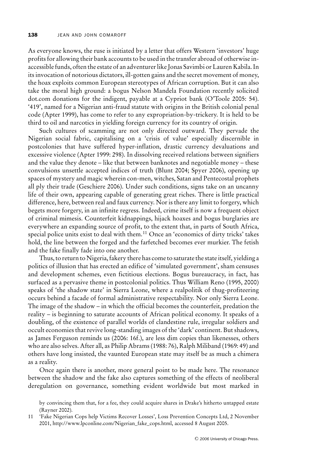As everyone knows, the ruse is initiated by a letter that offers Western 'investors' huge profits for allowing their bank accounts to be used in the transfer abroad of otherwise inaccessible funds, often the estate of an adventurer like Jonas Savimbi or Lauren Kabila. In its invocation of notorious dictators, ill-gotten gains and the secret movement of money, the hoax exploits common European stereotypes of African corruption. But it can also take the moral high ground: a bogus Nelson Mandela Foundation recently solicited dot.com donations for the indigent, payable at a Cypriot bank (O'Toole 2005: 54). '419', named for a Nigerian anti-fraud statute with origins in the British colonial penal code (Apter 1999), has come to refer to any expropriation-by-trickery. It is held to be third to oil and narcotics in yielding foreign currency for its country of origin.

Such cultures of scamming are not only directed outward. They pervade the Nigerian social fabric, capitalising on a 'crisis of value' especially discernible in postcolonies that have suffered hyper-inflation, drastic currency devaluations and excessive violence (Apter 1999: 298). In dissolving received relations between signifiers and the value they denote – like that between banknotes and negotiable money – these convulsions unsettle accepted indices of truth (Blunt 2004; Spyer 2006), opening up spaces of mystery and magic wherein con-men, witches, Satan and Pentecostal prophets all ply their trade (Geschiere 2006). Under such conditions, signs take on an uncanny life of their own, appearing capable of generating great riches. There is little practical difference, here, between real and faux currency. Nor is there any limit to forgery, which begets more forgery, in an infinite regress. Indeed, crime itself is now a frequent object of criminal mimesis. Counterfeit kidnappings, hijack hoaxes and bogus burglaries are everywhere an expanding source of profit, to the extent that, in parts of South Africa, special police units exist to deal with them.<sup>11</sup> Once an 'economics of dirty tricks' takes hold, the line between the forged and the farfetched becomes ever murkier. The fetish and the fake finally fade into one another.

Thus, to return to Nigeria, fakery there has come to saturate the state itself, yielding a politics of illusion that has erected an edifice of 'simulated government', sham censuses and development schemes, even fictitious elections. Bogus bureaucracy, in fact, has surfaced as a pervasive theme in postcolonial politics. Thus William Reno (1995, 2000) speaks of 'the shadow state' in Sierra Leone, where a realpolitik of thug-profiteering occurs behind a facade of formal administrative respectability. Nor only Sierra Leone. The image of the shadow – in which the official becomes the counterfeit, predation the reality – is beginning to saturate accounts of African political economy. It speaks of a doubling, of the existence of parallel worlds of clandestine rule, irregular soldiers and occult economies that revive long-standing images of the 'dark' continent. But shadows, as James Ferguson reminds us (2006: 16f.), are less dim copies than likenesses, others who are also selves. After all, as Philip Abrams (1988: 76), Ralph Miliband (1969: 49) and others have long insisted, the vaunted European state may itself be as much a chimera as a reality.

Once again there is another, more general point to be made here. The resonance between the shadow and the fake also captures something of the effects of neoliberal deregulation on governance, something evident worldwide but most marked in

by convincing them that, for a fee, they could acquire shares in Drake's hitherto untapped estate (Rayner 2002).

11 'Fake Nigerian Cops help Victims Recover Losses', Loss Prevention Concepts Ltd, 2 November 2001, http://www.lpconline.com/Nigerian\_fake\_cops.html, accessed 8 August 2005.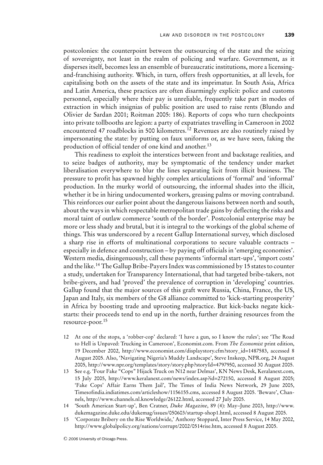postcolonies: the counterpoint between the outsourcing of the state and the seizing of sovereignty, not least in the realm of policing and warfare. Government, as it disperses itself, becomes less an ensemble of bureaucratic institutions, more a licensingand-franchising authority. Which, in turn, offers fresh opportunities, at all levels, for capitalising both on the assets of the state and its imprimatur. In South Asia, Africa and Latin America, these practices are often disarmingly explicit: police and customs personnel, especially where their pay is unreliable, frequently take part in modes of extraction in which insignias of public position are used to raise rents (Blundo and Olivier de Sardan 2001; Roitman 2005: 186). Reports of cops who turn checkpoints into private tollbooths are legion: a party of expatriates travelling in Cameroon in 2002 encountered 47 roadblocks in 500 kilometres.<sup>12</sup> Revenues are also routinely raised by impersonating the state: by putting on faux uniforms or, as we have seen, faking the production of official tender of one kind and another.<sup>13</sup>

This readiness to exploit the interstices between front and backstage realities, and to seize badges of authority, may be symptomatic of the tendency under market liberalisation everywhere to blur the lines separating licit from illicit business. The pressure to profit has spawned highly complex articulations of 'formal' and 'informal' production. In the murky world of outsourcing, the informal shades into the illicit, whether it be in hiring undocumented workers, greasing palms or moving contraband. This reinforces our earlier point about the dangerous liaisons between north and south, about the ways in which respectable metropolitan trade gains by deflecting the risks and moral taint of outlaw commerce 'south of the border'. Postcolonial enterprise may be more or less shady and brutal, but it is integral to the workings of the global scheme of things. This was underscored by a recent Gallup International survey, which disclosed a sharp rise in efforts of multinational corporations to secure valuable contracts – especially in defence and construction – by paying off officials in 'emerging economies'. Western media, disingenuously, call these payments 'informal start-ups', 'import costs' and the like.<sup>14</sup> The Gallup Bribe-Payers Index was commissioned by 15 states to counter a study, undertaken for Transparency International, that had targeted bribe-takers, not bribe-givers, and had 'proved' the prevalence of corruption in 'developing' countries. Gallup found that the major sources of this graft were Russia, China, France, the US, Japan and Italy, six members of the G8 alliance committed to 'kick-starting prosperity' in Africa by boosting trade and uprooting malpractice. But kick-backs negate kickstarts: their proceeds tend to end up in the north, further draining resources from the resource-poor.<sup>15</sup>

- 12 At one of the stops, a 'robber-cop' declared: 'I have a gun, so I know the rules'; see 'The Road to Hell is Unpaved: Trucking in Cameroon', Economist.com. From *The Economist* print edition, 19 December 2002, http://www.economist.com/displaystory.cfm?story\_id=1487583, accessed 8 August 2005. Also, 'Navigating Nigeria's Muddy Landscape', Steve Inskeep, NPR.org, 24 August 2005, http://www.npr.org/templates/story/story.php?storyId=4797950, accessed 30 August 2005.
- 13 See e.g. 'Four Fake "Cops" Hijack Truck on N12 near Delmas', KN News Desk, Keralanext.com, 15 July 2005, http://www.keralanext.com/news/index.asp?id=272150, accessed 8 August 2005; 'Fake Cops' Affair Earns Them Jail', The Times of India News Network, 29 June 2005, Timesofindia.indiatimes.com/articleshow/1156155.cms, accessed 8 August 2005. 'Beware', Channels, http://www.channels.nl.knowledge/26122.html, accessed 27 July 2005.
- 14 'South American Start-up', Ben Cratner, *Duke Magazine*, 89 (4): May–June 2003, http://www. dukemagazine.duke.edu/dukemag/issues/050603/startup-shop1.html, accessed 8 August 2005.
- 15 'Corporate Bribery on the Rise Worldwide,' Anthony Stoppard, Inter Press Service, 14 May 2002, http://www.globalpolicy.org/nations/corrupt/2002/0514rise.htm, accessed 8 August 2005.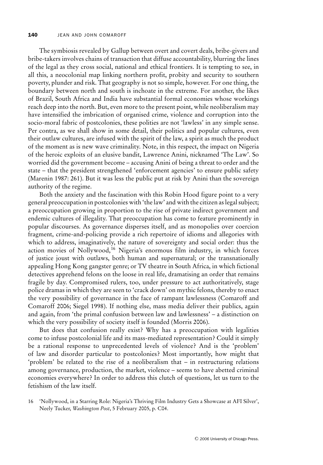The symbiosis revealed by Gallup between overt and covert deals, bribe-givers and bribe-takers involves chains of transaction that diffuse accountability, blurring the lines of the legal as they cross social, national and ethical frontiers. It is tempting to see, in all this, a neocolonial map linking northern profit, probity and security to southern poverty, plunder and risk. That geography is not so simple, however. For one thing, the boundary between north and south is inchoate in the extreme. For another, the likes of Brazil, South Africa and India have substantial formal economies whose workings reach deep into the north. But, even more to the present point, while neoliberalism may have intensified the imbrication of organised crime, violence and corruption into the socio-moral fabric of postcolonies, these polities are not 'lawless' in any simple sense. Per contra, as we shall show in some detail, their politics and popular cultures, even their outlaw cultures, are infused with the spirit of the law, a spirit as much the product of the moment as is new wave criminality. Note, in this respect, the impact on Nigeria of the heroic exploits of an elusive bandit, Lawrence Anini, nicknamed 'The Law'. So worried did the government become – accusing Anini of being a threat to order and the state – that the president strengthened 'enforcement agencies' to ensure public safety (Marenin 1987: 261). But it was less the public put at risk by Anini than the sovereign authority of the regime.

Both the anxiety and the fascination with this Robin Hood figure point to a very general preoccupation in postcolonies with 'the law' and with the citizen as legal subject; a preoccupation growing in proportion to the rise of private indirect government and endemic cultures of illegality. That preoccupation has come to feature prominently in popular discourses. As governance disperses itself, and as monopolies over coercion fragment, crime-and-policing provide a rich repertoire of idioms and allegories with which to address, imaginatively, the nature of sovereignty and social order: thus the action movies of Nollywood,<sup>16</sup> Nigeria's enormous film industry, in which forces of justice joust with outlaws, both human and supernatural; or the transnationally appealing Hong Kong gangster genre; or TV theatre in South Africa, in which fictional detectives apprehend felons on the loose in real life, dramatising an order that remains fragile by day. Compromised rulers, too, under pressure to act authoritatively, stage police dramas in which they are seen to 'crack down' on mythic felons, thereby to enact the very possibility of governance in the face of rampant lawlessness (Comaroff and Comaroff 2006; Siegel 1998). If nothing else, mass media deliver their publics, again and again, from 'the primal confusion between law and lawlessness' – a distinction on which the very possibility of society itself is founded (Morris 2006).

But does that confusion really exist? Why has a preoccupation with legalities come to infuse postcolonial life and its mass-mediated representation? Could it simply be a rational response to unprecedented levels of violence? And is the 'problem' of law and disorder particular to postcolonies? Most importantly, how might that 'problem' be related to the rise of a neoliberalism that – in restructuring relations among governance, production, the market, violence – seems to have abetted criminal economies everywhere? In order to address this clutch of questions, let us turn to the fetishism of the law itself.

<sup>16 &#</sup>x27;Nollywood, in a Starring Role: Nigeria's Thriving Film Industry Gets a Showcase at AFI Silver', Neely Tucker, *Washington Post*, 5 February 2005, p. C04.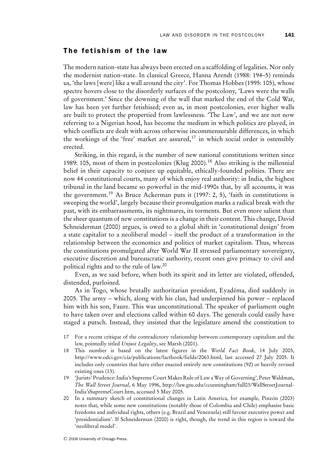## The fetishism of the law

The modern nation-state has always been erected on a scaffolding of legalities. Nor only the modernist nation-state. In classical Greece, Hanna Arendt (1988: 194–5) reminds us, 'the laws [were] like a wall around the city'. For Thomas Hobbes (1995: 105), whose spectre hovers close to the disorderly surfaces of the postcolony, 'Laws were the walls of government.' Since the downing of the wall that marked the end of the Cold War, law has been yet further fetishised; even as, in most postcolonies, ever higher walls are built to protect the propertied from lawlessness. 'The Law', and we are not now referring to a Nigerian hood, has become the medium in which politics are played, in which conflicts are dealt with across otherwise incommensurable differences, in which the workings of the 'free' market are assured,  $17$  in which social order is ostensibly erected.

Striking, in this regard, is the number of new national constitutions written since 1989: 105, most of them in postcolonies (Klug 2000).<sup>18</sup> Also striking is the millennial belief in their capacity to conjure up equitable, ethically-founded polities. There are now 44 constitutional courts, many of which enjoy real authority: in India, the highest tribunal in the land became so powerful in the mid-1990s that, by all accounts, it was the government.<sup>19</sup> As Bruce Ackerman puts it (1997: 2, 5), 'faith in constitutions is sweeping the world', largely because their promulgation marks a radical break with the past, with its embarrassments, its nightmares, its torments. But even more salient than the sheer quantum of new constitutions is a change in their content. This change, David Schneiderman (2000) argues, is owed to a global shift in 'constitutional design' from a state capitalist to a neoliberal model – itself the product of a transformation in the relationship between the economics and politics of market capitalism. Thus, whereas the constitutions promulgated after World War II stressed parliamentary sovereignty, executive discretion and bureaucratic authority, recent ones give primacy to civil and political rights and to the rule of law.<sup>20</sup>

Even, as we said before, when both its spirit and its letter are violated, offended, distended, purloined.

As in Togo, whose brutally authoritarian president, Eyadéma, died suddenly in 2005. The army – which, along with his clan, had underpinned his power – replaced him with his son, Faure. This was unconstitutional. The speaker of parliament ought to have taken over and elections called within 60 days. The generals could easily have staged a putsch. Instead, they insisted that the legislature amend the constitution to

- 17 For a recent critique of the contradictory relationship between contemporary capitalism and the law, pointedly titled *Unjust Legality*, see Marsh (2001).
- 18 This number is based on the latest figures in the *World Fact Book*, 14 July 2005, http://www.odci.gov/cia/publications/factbook/fields/2063.html, last accessed 27 July 2005. It includes only countries that have either enacted entirely new constitutions (92) or heavily revised existing ones (13).
- 19 'Jurists' Prudence: India's Supreme Court Makes Rule of Law a Way of Governing', Peter Waldman, *The Wall Street Journal*, 6 May 1996, http://law.gsu.edu/ccunningham/fall03/WallStreetJournal-India'sSupremeCourt.htm, accessed 5 May 2005.
- 20 In a summary sketch of constitutional changes in Latin America, for example, Pinzón (2003) notes that, while some new constitutions (notably those of Colombia and Chile) emphasise basic freedoms and individual rights, others (e.g. Brazil and Venezuela) still favour executive power and 'presidentialism'. If Schneiderman (2000) is right, though, the trend in this region is toward the 'neoliberal model'.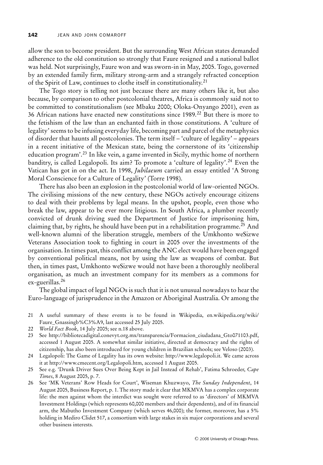allow the son to become president. But the surrounding West African states demanded adherence to the old constitution so strongly that Faure resigned and a national ballot was held. Not surprisingly, Faure won and was sworn-in in May, 2005. Togo, governed by an extended family firm, military strong-arm and a strangely refracted conception of the Spirit of Law, continues to clothe itself in constitutionality.<sup>21</sup>

The Togo story is telling not just because there are many others like it, but also because, by comparison to other postcolonial theatres, Africa is commonly said not to be committed to constitutionalism (see Mbaku 2000; Oloka-Onyango 2001), even as 36 African nations have enacted new constitutions since 1989.<sup>22</sup> But there is more to the fetishism of the law than an enchanted faith in those constitutions. A 'culture of legality' seems to be infusing everyday life, becoming part and parcel of the metaphysics of disorder that haunts all postcolonies. The term itself – 'culture of legality' – appears in a recent initiative of the Mexican state, being the cornerstone of its 'citizenship education program'.<sup>23</sup> In like vein, a game invented in Sicily, mythic home of northern banditry, is called Legalopoli. Its aim? To promote a 'culture of legality'.<sup>24</sup> Even the Vatican has got in on the act. In 1998, *Jubilaeum* carried an essay entitled 'A Strong Moral Conscience for a Culture of Legality' (Torre 1998).

There has also been an explosion in the postcolonial world of law-oriented NGOs. The civilising missions of the new century, these NGOs actively encourage citizens to deal with their problems by legal means. In the upshot, people, even those who break the law, appear to be ever more litigious. In South Africa, a plumber recently convicted of drunk driving sued the Department of Justice for imprisoning him, claiming that, by rights, he should have been put in a rehabilitation programme.<sup>25</sup> And well-known alumni of the liberation struggle, members of the Umkhonto weSizwe Veterans Association took to fighting in court in 2005 over the investments of the organisation. In times past, this conflict among the ANC elect would have been engaged by conventional political means, not by using the law as weapons of combat. But then, in times past, Umkhonto weSizwe would not have been a thoroughly neoliberal organisation, as much an investment company for its members as a commons for ex-guerillas.<sup>26</sup>

The global impact of legal NGOs is such that it is not unusual nowadays to hear the Euro-language of jurisprudence in the Amazon or Aboriginal Australia. Or among the

- 21 A useful summary of these events is to be found in Wikipedia, en.wikipedia.org/wiki/ Faure\_Gnassingb%C3%A9, last accessed 25 July 2005.
- 22 *World Fact Book*, 14 July 2005; see n.18 above.
- 23 See http://bibliotecadigital.conevyt.org.mx/transparencia/Formacion\_ciudadana\_Gto071103.pdf, accessed 1 August 2005. A somewhat similar initiative, directed at democracy and the rights of citizenship, has also been introduced for young children in Brazilian schools; see Veloso (2003).
- 24 Legalopoli: The Game of Legality has its own website: http://www.legalopoli.it. We came across it at http://www.cmecent.org/Legalopoli.htm, accessed 1 August 2005.
- 25 See e.g. 'Drunk Driver Sues Over Being Kept in Jail Instead of Rehab', Fatima Schroeder, *Cape Times*, 8 August 2005, p. 7.
- 26 See 'MK Veterans' Row Heads for Court', Wiseman Khuzwayo, *The Sunday Independent*, 14 August 2005, Business Report, p. 1. The story made it clear that MKMVA has a complex corporate life: the men against whom the interdict was sought were referred to as 'directors' of MKMVA Investment Holdings (which represents 60,000 members and their dependents), and of its financial arm, the Mabutho Investment Company (which serves 46,000); the former, moreover, has a 5% holding in Mediro Clidet 517, a consortium with large stakes in six major corporations and several other business interests.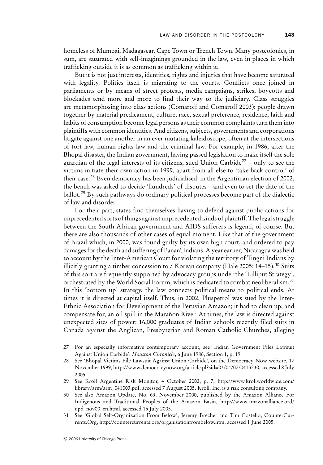homeless of Mumbai, Madagascar, Cape Town or Trench Town. Many postcolonies, in sum, are saturated with self-imaginings grounded in the law, even in places in which trafficking outside it is as common as trafficking within it.

But it is not just interests, identities, rights and injuries that have become saturated with legality. Politics itself is migrating to the courts. Conflicts once joined in parliaments or by means of street protests, media campaigns, strikes, boycotts and blockades tend more and more to find their way to the judiciary. Class struggles are metamorphosing into class actions (Comaroff and Comaroff 2003): people drawn together by material predicament, culture, race, sexual preference, residence, faith and habits of consumption become legal persons as their common complaints turn them into plaintiffs with common identities. And citizens, subjects, governments and corporations litigate against one another in an ever mutating kaleidoscope, often at the intersections of tort law, human rights law and the criminal law. For example, in 1986, after the Bhopal disaster, the Indian government, having passed legislation to make itself the sole guardian of the legal interests of its citizens, sued Union Carbide<sup>27</sup> – only to see the victims initiate their own action in 1999, apart from all else to 'take back control' of their case.<sup>28</sup> Even democracy has been judicialised: in the Argentinian election of 2002, the bench was asked to decide 'hundreds' of disputes – and even to set the date of the ballot.<sup>29</sup> By such pathways do ordinary political processes become part of the dialectic of law and disorder.

For their part, states find themselves having to defend against public actions for unprecedented sorts of things against unprecedented kinds of plaintiff. The legal struggle between the South African government and AIDS sufferers is legend, of course. But there are also thousands of other cases of equal moment. Like that of the government of Brazil which, in 2000, was found guilty by its own high court, and ordered to pay damages for the death and suffering of Panara Indians. A year earlier, Nicaragua was held ´ to account by the Inter-American Court for violating the territory of Tingni Indians by illicitly granting a timber concession to a Korean company (Hale 2005:  $14-15$ ).<sup>30</sup> Suits of this sort are frequently supported by advocacy groups under the 'Lilliput Strategy', orchestrated by the World Social Forum, which is dedicated to combat neoliberalism.<sup>31</sup> In this 'bottom up' strategy, the law connects political means to political ends. At times it is directed at capital itself. Thus, in 2002, Pluspetrol was sued by the Inter-Ethnic Association for Development of the Peruvian Amazon; it had to clean up, and compensate for, an oil spill in the Marañon River. At times, the law is directed against unexpected sites of power: 16,000 graduates of Indian schools recently filed suits in Canada against the Anglican, Presbyterian and Roman Catholic Churches, alleging

- 27 For an especially informative contemporary account, see 'Indian Government Files Lawsuit Against Union Carbide', *Houston Chronicle*, 6 June 1986, Section 1, p. 19.
- 28 See 'Bhopal Victims File Lawsuit Against Union Carbide', on the Democracy Now website, 17 November 1999, http://www.democracynow.org/article.pl?sid=03/04/07/0413230, accessed 8 July 2005.
- 29 See Kroll Argentine Risk Monitor, 4 October 2002, p. 7, http://www.krollworldwide.com/ library/arm/arm\_041003.pdf, accessed 7 August 2005. Kroll, Inc. is a risk consulting company.
- 30 See also Amazon Update, No. 63, November 2000, published by the Amazon Alliance For Indigenous and Traditional Peoples of the Amazon Basin, http://www.amazonalliance.ord/ upd\_nov00\_en.html, accessed 15 July 2005.
- 31 See 'Global Self-Organization From Below', Jeremy Brecher and Tim Costello, CounterCurrents.Org, http://countercurrents.org/organisationfrombelow.htm, accessed 1 June 2005.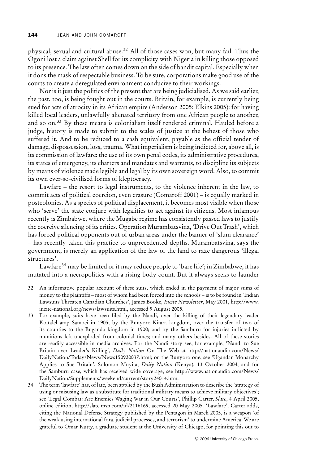physical, sexual and cultural abuse.<sup>32</sup> All of those cases won, but many fail. Thus the Ogoni lost a claim against Shell for its complicity with Nigeria in killing those opposed to its presence. The law often comes down on the side of bandit capital. Especially when it dons the mask of respectable business. To be sure, corporations make good use of the courts to create a deregulated environment conducive to their workings.

Nor is it just the politics of the present that are being judicialised. As we said earlier, the past, too, is being fought out in the courts. Britain, for example, is currently being sued for acts of atrocity in its African empire (Anderson 2005; Elkins 2005): for having killed local leaders, unlawfully alienated territory from one African people to another, and so on.<sup>33</sup> By these means is colonialism itself rendered criminal. Hauled before a judge, history is made to submit to the scales of justice at the behest of those who suffered it. And to be reduced to a cash equivalent, payable as the official tender of damage, dispossession, loss, trauma. What imperialism is being indicted for, above all, is its commission of lawfare: the use of its own penal codes, its administrative procedures, its states of emergency, its charters and mandates and warrants, to discipline its subjects by means of violence made legible and legal by its own sovereign word. Also, to commit its own ever-so-civilised forms of kleptocracy.

Lawfare – the resort to legal instruments, to the violence inherent in the law, to commit acts of political coercion, even erasure (Comaroff 2001) – is equally marked in postcolonies. As a species of political displacement, it becomes most visible when those who 'serve' the state conjure with legalities to act against its citizens. Most infamous recently is Zimbabwe, where the Mugabe regime has consistently passed laws to justify the coercive silencing of its critics. Operation Murambatsvina, 'Drive Out Trash', which has forced political opponents out of urban areas under the banner of 'slum clearance' – has recently taken this practice to unprecedented depths. Murambatsvina, says the government, is merely an application of the law of the land to raze dangerous 'illegal structures'.

Lawfare<sup>34</sup> may be limited or it may reduce people to 'bare life'; in Zimbabwe, it has mutated into a necropolitics with a rising body count. But it always seeks to launder

- 32 An informative popular account of these suits, which ended in the payment of major sums of money to the plaintiffs – most of whom had been forced into the schools – is to be found in 'Indian Lawsuits Threaten Canadian Churches', James Booke, *Incite Newsletter*, May 2001, http://www. incite-national.org/news/lawsuits.html, accessed 9 August 2005.
- 33 For example, suits have been filed by the Nandi, over the killing of their legendary leader Koitalel arap Samoei in 1905; by the Bunyoro-Kitara kingdom, over the transfer of two of its counties to the Buganda kingdom in 1900; and by the Samburu for injuries inflicted by munitions left unexploded from colonial times; and many others besides. All of these stories are readily accessible in media archives. For the Nandi story see, for example, 'Nandi to Sue Britain over Leader's Killing', *Daily Nation* On The Web at http://nationaudio.com/News/ DailyNation/Today/News/News150920037.html; on the Bunyoro one, see 'Ugandan Monarchy Applies to Sue Britain', Solomon Muyita, *Daily Nation* (Kenya), 13 October 2004; and for the Samburu case, which has received wide coverage, see http://www.nationaudio.com/News/ DailyNation/Supplements/weekend/current/story24014.htm.
- 34 The term 'lawfare' has, of late, been applied by the Bush Administration to describe the 'strategy of using or misusing law as a substitute for traditional military means to achieve military objectives'; see 'Legal Combat: Are Enemies Waging War in Our Courts', Phillip Carter, *Slate*, 4 April 2005, online edition, http://slate.msn.com/id/2116169, accessed 20 May 2005. 'Lawfare', Carter adds, citing the National Defense Strategy published by the Pentagon in March 2005, is a weapon 'of the weak using international fora, judicial processes, and terrorism' to undermine America. We are grateful to Omar Kutty, a graduate student at the University of Chicago, for pointing this out to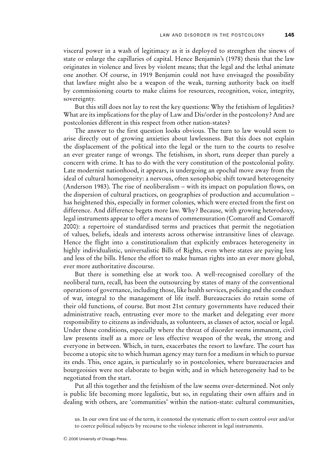visceral power in a wash of legitimacy as it is deployed to strengthen the sinews of state or enlarge the capillaries of capital. Hence Benjamin's (1978) thesis that the law originates in violence and lives by violent means; that the legal and the lethal animate one another. Of course, in 1919 Benjamin could not have envisaged the possibility that lawfare might also be a weapon of the weak, turning authority back on itself by commissioning courts to make claims for resources, recognition, voice, integrity, sovereignty.

But this still does not lay to rest the key questions: Why the fetishism of legalities? What are its implications for the play of Law and Dis/order in the postcolony? And are postcolonies different in this respect from other nation-states?

The answer to the first question looks obvious. The turn to law would seem to arise directly out of growing anxieties about lawlessness. But this does not explain the displacement of the political into the legal or the turn to the courts to resolve an ever greater range of wrongs. The fetishism, in short, runs deeper than purely a concern with crime. It has to do with the very constitution of the postcolonial polity. Late modernist nationhood, it appears, is undergoing an epochal move away from the ideal of cultural homogeneity: a nervous, often xenophobic shift toward heterogeneity (Anderson 1983). The rise of neoliberalism – with its impact on population flows, on the dispersion of cultural practices, on geographies of production and accumulation – has heightened this, especially in former colonies, which were erected from the first on difference. And difference begets more law. Why? Because, with growing heterodoxy, legal instruments appear to offer a means of commensuration (Comaroff and Comaroff 2000): a repertoire of standardised terms and practices that permit the negotiation of values, beliefs, ideals and interests across otherwise intransitive lines of cleavage. Hence the flight into a constitutionalism that explicitly embraces heterogeneity in highly individualistic, universalistic Bills of Rights, even where states are paying less and less of the bills. Hence the effort to make human rights into an ever more global, ever more authoritative discourse.

But there is something else at work too. A well-recognised corollary of the neoliberal turn, recall, has been the outsourcing by states of many of the conventional operations of governance, including those, like health services, policing and the conduct of war, integral to the management of life itself. Bureaucracies do retain some of their old functions, of course. But most 21st century governments have reduced their administrative reach, entrusting ever more to the market and delegating ever more responsibility to citizens as individuals, as volunteers, as classes of actor, social or legal. Under these conditions, especially where the threat of disorder seems immanent, civil law presents itself as a more or less effective weapon of the weak, the strong and everyone in between. Which, in turn, exacerbates the resort to lawfare. The court has become a utopic site to which human agency may turn for a medium in which to pursue its ends. This, once again, is particularly so in postcolonies, where bureaucracies and bourgeoisies were not elaborate to begin with; and in which heterogeneity had to be negotiated from the start.

Put all this together and the fetishism of the law seems over-determined. Not only is public life becoming more legalistic, but so, in regulating their own affairs and in dealing with others, are 'communities' within the nation-state: cultural communities,

us. In our own first use of the term, it connoted the systematic effort to exert control over and/or to coerce political subjects by recourse to the violence inherent in legal instruments.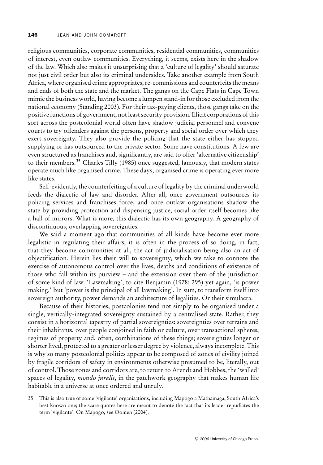religious communities, corporate communities, residential communities, communities of interest, even outlaw communities. Everything, it seems, exists here in the shadow of the law. Which also makes it unsurprising that a 'culture of legality' should saturate not just civil order but also its criminal undersides. Take another example from South Africa, where organised crime appropriates, re-commissions and counterfeits the means and ends of both the state and the market. The gangs on the Cape Flats in Cape Town mimic the business world, having become a lumpen stand-in for those excluded from the national economy (Standing 2003). For their tax-paying clients, those gangs take on the positive functions of government, not least security provision. Illicit corporations of this sort across the postcolonial world often have shadow judicial personnel and convene courts to try offenders against the persons, property and social order over which they exert sovereignty. They also provide the policing that the state either has stopped supplying or has outsourced to the private sector. Some have constitutions. A few are even structured as franchises and, significantly, are said to offer 'alternative citizenship' to their members.<sup>35</sup> Charles Tilly (1985) once suggested, famously, that modern states operate much like organised crime. These days, organised crime is operating ever more like states.

Self-evidently, the counterfeiting of a culture of legality by the criminal underworld feeds the dialectic of law and disorder. After all, once government outsources its policing services and franchises force, and once outlaw organisations shadow the state by providing protection and dispensing justice, social order itself becomes like a hall of mirrors. What is more, this dialectic has its own geography. A geography of discontinuous, overlapping sovereignties.

We said a moment ago that communities of all kinds have become ever more legalistic in regulating their affairs; it is often in the process of so doing, in fact, that they become communities at all, the act of judicialisation being also an act of objectification. Herein lies their will to sovereignty, which we take to connote the exercise of autonomous control over the lives, deaths and conditions of existence of those who fall within its purview – and the extension over them of the jurisdiction of some kind of law. 'Lawmaking', to cite Benjamin (1978: 295) yet again, 'is power making.' But 'power is the principal of all lawmaking'. In sum, to transform itself into sovereign authority, power demands an architecture of legalities. Or their simulacra.

Because of their histories, postcolonies tend not simply to be organised under a single, vertically-integrated sovereignty sustained by a centralised state. Rather, they consist in a horizontal tapestry of partial sovereignties: sovereignties over terrains and their inhabitants, over people conjoined in faith or culture, over transactional spheres, regimes of property and, often, combinations of these things; sovereignties longer or shorter lived, protected to a greater or lesser degree by violence, always incomplete. This is why so many postcolonial polities appear to be composed of zones of civility joined by fragile corridors of safety in environments otherwise presumed to be, literally, out of control. Those zones and corridors are, to return to Arendt and Hobbes, the 'walled' spaces of legality, *mondo juralis*, in the patchwork geography that makes human life habitable in a universe at once ordered and unruly.

35 This is also true of some 'vigilante' organisations, including Mapogo a Mathamaga, South Africa's best known one; the scare quotes here are meant to denote the fact that its leader repudiates the term 'vigilante'. On Mapogo, see Oomen (2004).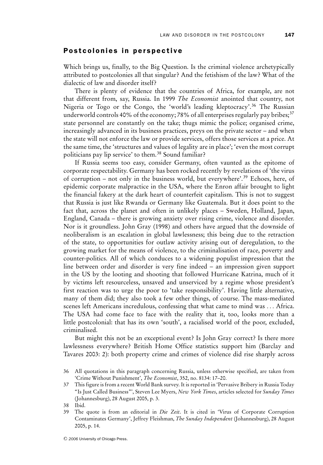#### Postcolonies in perspective

Which brings us, finally, to the Big Question. Is the criminal violence archetypically attributed to postcolonies all that singular? And the fetishism of the law? What of the dialectic of law and disorder itself?

There is plenty of evidence that the countries of Africa, for example, are not that different from, say, Russia. In 1999 *The Economist* anointed that country, not Nigeria or Togo or the Congo, the 'world's leading kleptocracy'.<sup>36</sup> The Russian underworld controls 40% of the economy; 78% of all enterprises regularly pay bribes;  $37$ state personnel are constantly on the take; thugs mimic the police; organised crime, increasingly advanced in its business practices, preys on the private sector – and when the state will not enforce the law or provide services, offers those services at a price. At the same time, the 'structures and values of legality are in place'; 'even the most corrupt politicians pay lip service' to them.<sup>38</sup> Sound familiar?

If Russia seems too easy, consider Germany, often vaunted as the epitome of corporate respectability. Germany has been rocked recently by revelations of 'the virus of corruption – not only in the business world, but everywhere'.<sup>39</sup> Echoes, here, of epidemic corporate malpractice in the USA, where the Enron affair brought to light the financial fakery at the dark heart of counterfeit capitalism. This is not to suggest that Russia is just like Rwanda or Germany like Guatemala. But it does point to the fact that, across the planet and often in unlikely places – Sweden, Holland, Japan, England, Canada – there is growing anxiety over rising crime, violence and disorder. Nor is it groundless. John Gray (1998) and others have argued that the downside of neoliberalism is an escalation in global lawlessness; this being due to the retraction of the state, to opportunities for outlaw activity arising out of deregulation, to the growing market for the means of violence, to the criminalisation of race, poverty and counter-politics. All of which conduces to a widening populist impression that the line between order and disorder is very fine indeed – an impression given support in the US by the looting and shooting that followed Hurricane Katrina, much of it by victims left resourceless, unsaved and unserviced by a regime whose president's first reaction was to urge the poor to 'take responsibility'. Having little alternative, many of them did; they also took a few other things, of course. The mass-mediated scenes left Americans incredulous, confessing that what came to mind was ... Africa. The USA had come face to face with the reality that it, too, looks more than a little postcolonial: that has its own 'south', a racialised world of the poor, excluded, criminalised.

But might this not be an exceptional event? Is John Gray correct? Is there more lawlessness everywhere? British Home Office statistics support him (Barclay and Tavares 2003: 2): both property crime and crimes of violence did rise sharply across

39 The quote is from an editorial in *Die Zeit*. It is cited in 'Virus of Corporate Corruption Contaminates Germany', Jeffrey Fleishman, *The Sunday Independent* (Johannesburg), 28 August 2005, p. 14.

<sup>36</sup> All quotations in this paragraph concerning Russia, unless otherwise specified, are taken from 'Crime Without Punishment', *The Economist*, 352, no. 8134: 17–20.

<sup>37</sup> This figure is from a recent World Bank survey. It is reported in 'Pervasive Bribery in Russia Today "Is Just Called Business"', Steven Lee Myers, *New York Times*, articles selected for *Sunday Times* (Johannesburg), 28 August 2005, p. 3.

<sup>38</sup> Ibid.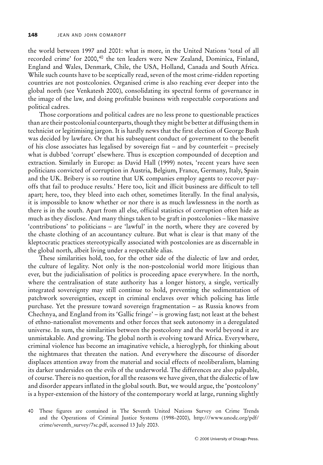the world between 1997 and 2001: what is more, in the United Nations 'total of all recorded crime' for 2000,<sup>40</sup> the ten leaders were New Zealand, Dominica, Finland, England and Wales, Denmark, Chile, the USA, Holland, Canada and South Africa. While such counts have to be sceptically read, seven of the most crime-ridden reporting countries are not postcolonies. Organised crime is also reaching ever deeper into the global north (see Venkatesh 2000), consolidating its spectral forms of governance in the image of the law, and doing profitable business with respectable corporations and political cadres.

Those corporations and political cadres are no less prone to questionable practices than are their postcolonial counterparts, though they might be better at diffusing them in technicist or legitimising jargon. It is hardly news that the first election of George Bush was decided by lawfare. Or that his subsequent conduct of government to the benefit of his close associates has legalised by sovereign fiat – and by counterfeit – precisely what is dubbed 'corrupt' elsewhere. Thus is exception compounded of deception and extraction. Similarly in Europe: as David Hall (1999) notes, 'recent years have seen politicians convicted of corruption in Austria, Belgium, France, Germany, Italy, Spain and the UK. Bribery is so routine that UK companies employ agents to recover payoffs that fail to produce results.' Here too, licit and illicit business are difficult to tell apart; here, too, they bleed into each other, sometimes literally. In the final analysis, it is impossible to know whether or nor there is as much lawlessness in the north as there is in the south. Apart from all else, official statistics of corruption often hide as much as they disclose. And many things taken to be graft in postcolonies – like massive 'contributions' to politicians – are 'lawful' in the north, where they are covered by the chaste clothing of an accountancy culture. But what is clear is that many of the kleptocratic practices stereotypically associated with postcolonies are as discernable in the global north, albeit living under a respectable alias.

These similarities hold, too, for the other side of the dialectic of law and order, the culture of legality. Not only is the non-postcolonial world more litigious than ever, but the judicialisation of politics is proceeding apace everywhere. In the north, where the centralisation of state authority has a longer history, a single, vertically integrated sovereignty may still continue to hold, preventing the sedimentation of patchwork sovereignties, except in criminal enclaves over which policing has little purchase. Yet the pressure toward sovereign fragmentation – as Russia knows from Chechnya, and England from its 'Gallic fringe' – is growing fast; not least at the behest of ethno-nationalist movements and other forces that seek autonomy in a deregulated universe. In sum, the similarities between the postcolony and the world beyond it are unmistakable. And growing. The global north is evolving toward Africa. Everywhere, criminal violence has become an imaginative vehicle, a hieroglyph, for thinking about the nightmares that threaten the nation. And everywhere the discourse of disorder displaces attention away from the material and social effects of neoliberalism, blaming its darker undersides on the evils of the underworld. The differences are also palpable, of course. There is no question, for all the reasons we have given, that the dialectic of law and disorder appears inflated in the global south. But, we would argue, the 'postcolony' is a hyper-extension of the history of the contemporary world at large, running slightly

<sup>40</sup> These figures are contained in The Seventh United Nations Survey on Crime Trends and the Operations of Criminal Justice Systems (1998–2000), http:///www.unodc.org/pdf/ crime/seventh\_survey/7sc.pdf, accessed 13 July 2003.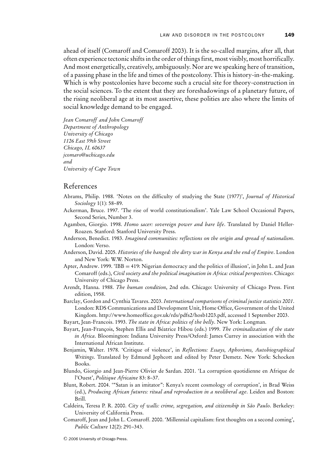ahead of itself (Comaroff and Comaroff 2003). It is the so-called margins, after all, that often experience tectonic shifts in the order of things first, most visibly, most horrifically. And most energetically, creatively, ambiguously. Nor are we speaking here of transition, of a passing phase in the life and times of the postcolony. This is history-in-the-making. Which is why postcolonies have become such a crucial site for theory-construction in the social sciences. To the extent that they are foreshadowings of a planetary future, of the rising neoliberal age at its most assertive, these polities are also where the limits of social knowledge demand to be engaged.

*Jean Comaroff and John Comaroff Department of Anthropology University of Chicago 1126 East 59th Street Chicago, IL 60637 jcomaro*@*uchicago.edu and University of Cape Town*

#### References

- Abrams, Philip. 1988. 'Notes on the difficulty of studying the State (1977)', *Journal of Historical Sociology* 1(1): 58–89.
- Ackerman, Bruce. 1997. 'The rise of world constitutionalism'. Yale Law School Occasional Papers, Second Series, Number 3.
- Agamben, Giorgio. 1998. *Homo sacer: sovereign power and bare life*. Translated by Daniel Heller-Roazen. Stanford: Stanford University Press.
- Anderson, Benedict. 1983. *Imagined communities: reflections on the origin and spread of nationalism*. London: Verso.
- Anderson, David. 2005. *Histories of the hanged: the dirty war in Kenya and the end of Empire*. London and New York: W.W. Norton.
- Apter, Andrew. 1999. 'IBB = 419: Nigerian democracy and the politics of illusion', in John L. and Jean Comaroff (eds.), *Civil society and the political imagination in Africa: critical perspectives*. Chicago: University of Chicago Press.
- Arendt, Hanna. 1988. *The human condition*, 2nd edn. Chicago: University of Chicago Press. First edition, 1958.
- Barclay, Gordon and Cynthia Tavares. 2003. *International comparisons of criminal justice statistics 2001*. London: RDS Communications and Development Unit, Home Office, Government of the United Kingdom. http://www.homeoffice.gov.uk/rds/pdfs2/hosb1203.pdf, accessed 1 September 2003.
- Bayart, Jean-Francois. 1993. *The state in Africa: politics of the belly*. New York: Longman.
- Bayart, Jean-François, Stephen Ellis and Béatrice Hibou (eds.) 1999. *The criminalization of the state in Africa*. Bloomington: Indiana University Press/Oxford: James Currey in association with the International African Institute.
- Benjamin, Walter. 1978. 'Critique of violence', in *Reflections: Essays, Aphorisms, Autobiographical Writings*. Translated by Edmund Jephcott and edited by Peter Demetz. New York: Schocken Books.
- Blundo, Giorgio and Jean-Pierre Olivier de Sardan. 2001. 'La corruption quotidienne en Afrique de l'Ouest', *Politique Africaine* 83: 8–37.
- Blunt, Robert. 2004. '"Satan is an imitator": Kenya's recent cosmology of corruption', in Brad Weiss (ed.), *Producing African futures: ritual and reproduction in a neoliberal age*. Leiden and Boston: Brill.
- Caldeira, Teresa P. R. 2000. *City of walls: crime, segregation, and citizenship in São Paulo*. Berkeley: University of California Press.
- Comaroff, Jean and John L. Comaroff. 2000. 'Millennial capitalism: first thoughts on a second coming', *Public Culture* 12(2): 291–343.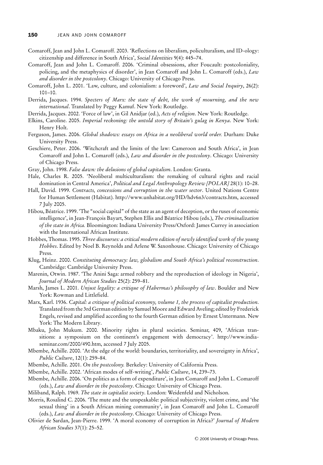- Comaroff, Jean and John L. Comaroff. 2003. 'Reflections on liberalism, policulturalism, and ID-ology: citizenship and difference in South Africa', *Social Identities* 9(4): 445–74.
- Comaroff, Jean and John L. Comaroff. 2006. 'Criminal obsessions, after Foucault: postcoloniality, policing, and the metaphysics of disorder', in Jean Comaroff and John L. Comaroff (eds.), *Law and disorder in the postcolony*. Chicago: University of Chicago Press.
- Comaroff, John L. 2001. 'Law, culture, and colonialism: a foreword', *Law and Social Inquiry*, 26(2): 101–10.
- Derrida, Jacques. 1994. *Specters of Marx: the state of debt, the work of mourning, and the new international*. Translated by Peggy Kamuf. New York: Routledge.
- Derrida, Jacques. 2002. 'Force of law', in Gil Anidjar (ed.), *Acts of religion*. New York: Routledge.
- Elkins, Caroline. 2005. *Imperial reckoning: the untold story of Britain's gulag in Kenya*. New York: Henry Holt.
- Ferguson, James. 2006. *Global shadows: essays on Africa in a neoliberal world order.* Durham: Duke University Press.
- Geschiere, Peter. 2006. 'Witchcraft and the limits of the law: Cameroon and South Africa', in Jean Comaroff and John L. Comaroff (eds.), *Law and disorder in the postcolony*. Chicago: University of Chicago Press.
- Gray, John. 1998. *False dawn: the delusions of global capitalism*. London: Granta.
- Hale, Charles R. 2005. 'Neoliberal multiculturalism: the remaking of cultural rights and racial domination in Central America', *Political and Legal Anthropology Review [POLAR]* 28(1): 10–28.
- Hall, David. 1999. *Contracts, concessions and corruption in the water sector*. United Nations Centre for Human Settlement (Habitat). http://www.unhabitat.org/HD/hdv6n3/contracts.htm, accessed 7 July 2005.
- Hibou, Béatrice. 1999. 'The "social capital" of the state as an agent of deception, or the ruses of economic intelligence', in Jean-Francois Bayart, Stephen Ellis and Béatrice Hibou (eds.), *The criminalization of the state in Africa.* Bloomington: Indiana University Press/Oxford: James Currey in association with the International African Institute.
- Hobbes, Thomas. 1995. *Three discourses: a critical modern edition of newly identified work of the young Hobbes*. Edited by Noel B. Reynolds and Arlene W. Saxonhouse. Chicago: University of Chicago Press.
- Klug, Heinz. 2000. *Constituting democracy: law, globalism and South Africa's political reconstruction*. Cambridge: Cambridge University Press.
- Marenin, Otwin. 1987. 'The Anini Saga: armed robbery and the reproduction of ideology in Nigeria', *Journal of Modern African Studies* 25(2): 259–81.
- Marsh, James L. 2001. *Unjust legality: a critique of Habermas's philosophy of law*. Boulder and New York: Rowman and Littlefield.
- Marx, Karl. 1936. *Capital: a critique of political economy, volume 1, the process of capitalist production*. Translated from the 3rd German edition by Samuel Moore and Edward Aveling; edited by Frederick Engels, revised and amplified according to the fourth German edition by Ernest Untermann. New York: The Modern Library.
- Mbaku, John Mukum. 2000. Minority rights in plural societies. Seminar, 409, 'African transitions: a symposium on the continent's engagement with democracy'. http://www.indiaseminar.com/2000/490.htm, accessed 7 July 2005.
- Mbembe, Achille. 2000. 'At the edge of the world: boundaries, territoriality, and sovereignty in Africa', *Public Culture*, 12(1): 259–84.
- Mbembe, Achille. 2001. *On the postcolony.* Berkeley: University of California Press.
- Mbembe, Achille. 2002. 'African modes of self-writing', *Public Culture*, 14, 239–73.
- Mbembe, Achille. 2006. 'On politics as a form of expenditure', in Jean Comaroff and John L. Comaroff (eds.), *Law and disorder in the postcolony*. Chicago: University of Chicago Press.
- Miliband, Ralph. 1969. *The state in capitalist society*. London: Weidenfeld and Nicholson.
- Morris, Rosalind C. 2006. 'The mute and the unspeakable: political subjectivity, violent crime, and 'the sexual thing' in a South African mining community', in Jean Comaroff and John L. Comaroff (eds.), *Law and disorder in the postcolony*. Chicago: University of Chicago Press.
- Olivier de Sardan, Jean-Pierre. 1999. 'A moral economy of corruption in Africa?' *Journal of Modern African Studies* 37(1): 25–52.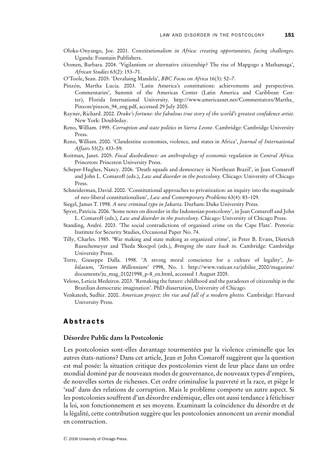- Oloka-Onyango, Joe. 2001. *Constitutionalism in Africa: creating opportunities, facing challenges*. Uganda: Fountain Publishers.
- Oomen, Barbara. 2004. 'Vigilantism or alternative citizenship? The rise of Mapgogo a Mathamaga', *African Studies* 63(2): 153–71.
- O'Toole, Sean. 2005. 'Devaluing Mandela', *BBC Focus on Africa* 16(3): 52–7.
- Pinzón, Martha Lucia. 2003. 'Latin America's constitutions: achievements and perspectives. Commentaries', Summit of the Americas Center (Latin America and Caribbean Center), Florida International University. http://www.americasnet.net/Commentators/Martha\_ Pinzon/pinzon\_94\_eng.pdf, accessed 29 July 2005.
- Rayner, Richard. 2002. *Drake's fortune: the fabulous true story of the world's greatest confidence artist*. New York: Doubleday.
- Reno, William. 1995. *Corruption and state politics in Sierra Leone*. Cambridge: Cambridge University Press.
- Reno, William. 2000. 'Clandestine economies, violence, and states in Africa', *Journal of International Affairs* 53(2): 433–59.
- Roitman, Janet. 2005. *Fiscal disobedience: an anthropology of economic regulation in Central Africa*. Princeton: Princeton University Press.
- Scheper-Hughes, Nancy. 2006. 'Death squads and democracy in Northeast Brazil', in Jean Comaroff and John L. Comaroff (eds.), *Law and disorder in the postcolony.* Chicago: University of Chicago Press.
- Schneiderman, David. 2000. 'Constitutional approaches to privatization: an inquiry into the magnitude of neo-liberal constitutionalism', *Law and Contemporary Problems* 63(4): 83–109.
- Siegel, James T. 1998. *A new criminal type in Jakarta*. Durham: Duke University Press.
- Spyer, Patricia. 2006. 'Some notes on disorder in the Indonesian postcolony', in Jean Comaroff and John L. Comaroff (eds.), *Law and disorder in the postcolony*. Chicago: University of Chicago Press.
- Standing, Andre. 2003. 'The social contradictions of organised crime on the Cape Flats'. Pretoria: ´ Institute for Security Studies, Occasional Paper No. 74.
- Tilly, Charles. 1985. 'War making and state making as organized crime', in Peter B. Evans, Dietrich Rueschemeyer and Theda Skocpol (eds.), *Bringing the state back in*. Cambridge: Cambridge University Press.
- Torre, Giuseppe Dalla. 1998. 'A strong moral conscience for a culture of legality', *Jubilaeum, 'Tertium Millennium*' 1998, No. 1. http://www.vatican.va/jubilee\_2000/magazine/ documents/ju\_mag\_01021998\_p-8\_en.html, accessed 1 August 2005.
- Veloso, Leticia Medeiros. 2003. 'Remaking the future: childhood and the paradoxes of citizenship in the Brazilian democratic imagination'. PhD dissertation, University of Chicago.
- Venkatesh, Sudhir. 2000. *American project: the rise and fall of a modern ghetto.* Cambridge: Harvard University Press.

### Abstracts

#### **Desordre Public dans la Postcolonie ´**

Les postcolonies sont-elles davantage tourmentées par la violence criminelle que les autres états-nations? Dans cet article, Jean et John Comaroff suggèrent que la question est mal posée: la situation critique des postcolonies vient de leur place dans un ordre mondial dominé par de nouveaux modes de gouvernance, de nouveaux types d'empires, de nouvelles sortes de richesses. Cet ordre criminalise la pauvreté et la race, et piège le 'sud' dans des relations de corruption. Mais le probleme comporte un autre aspect. Si ` les postcolonies souffrent d'un désordre endémique, elles ont aussi tendance à fétichiser la loi, son fonctionnement et ses moyens. Examinant la coïncidence du désordre et de la légalité, cette contribution suggère que les postcolonies annoncent un avenir mondial en construction.